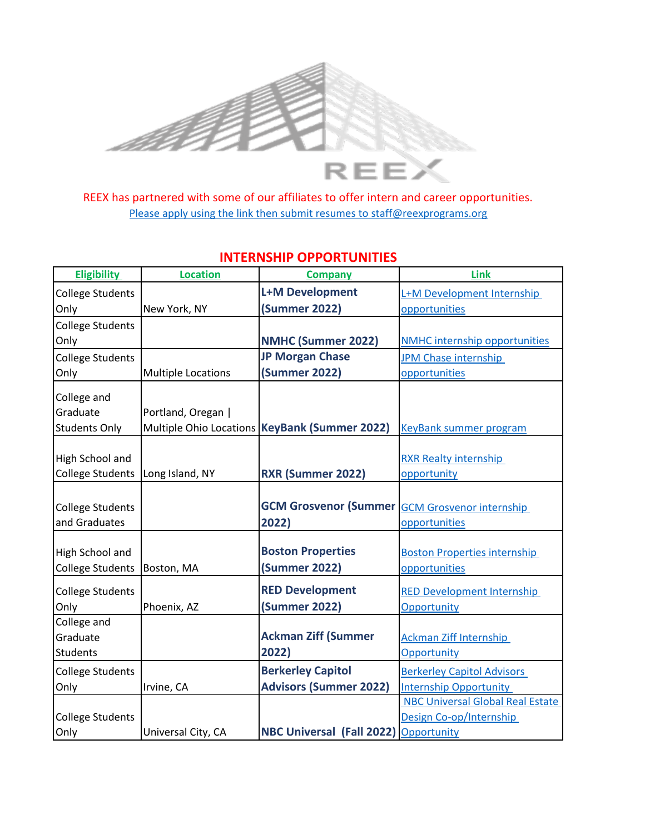

REEX has partnered with some of our affiliates to offer intern and career opportunities. [Ple](mailto:staff@reexprograms.org)ase apply using the link then submit resumes to staff@reexprograms.org

| <b>Eligibility</b>      | <b>Location</b>           | <b>Company</b>                                        | <b>Link</b>                             |
|-------------------------|---------------------------|-------------------------------------------------------|-----------------------------------------|
| <b>College Students</b> |                           | <b>L+M Development</b>                                | L+M Development Internship              |
| Only                    | New York, NY              | <b>(Summer 2022)</b>                                  | opportunities                           |
| <b>College Students</b> |                           |                                                       |                                         |
| Only                    |                           | <b>NMHC (Summer 2022)</b>                             | <b>NMHC internship opportunities</b>    |
| <b>College Students</b> |                           | <b>JP Morgan Chase</b>                                | <b>JPM Chase internship</b>             |
| Only                    | <b>Multiple Locations</b> | <b>(Summer 2022)</b>                                  | opportunities                           |
| College and             |                           |                                                       |                                         |
| Graduate                | Portland, Oregan          |                                                       |                                         |
| <b>Students Only</b>    |                           | Multiple Ohio Locations KeyBank (Summer 2022)         | <b>KeyBank summer program</b>           |
|                         |                           |                                                       |                                         |
| High School and         |                           |                                                       | <b>RXR Realty internship</b>            |
| <b>College Students</b> | Long Island, NY           | RXR (Summer 2022)                                     | opportunity                             |
|                         |                           |                                                       |                                         |
| <b>College Students</b> |                           | <b>GCM Grosvenor (Summer GCM Grosvenor internship</b> |                                         |
| and Graduates           |                           | 2022)                                                 | opportunities                           |
|                         |                           |                                                       |                                         |
| High School and         |                           | <b>Boston Properties</b>                              | <b>Boston Properties internship</b>     |
| <b>College Students</b> | Boston, MA                | (Summer 2022)                                         | opportunities                           |
| <b>College Students</b> |                           | <b>RED Development</b>                                | <b>RED Development Internship</b>       |
| Only                    | Phoenix, AZ               | <b>(Summer 2022)</b>                                  | Opportunity                             |
| College and             |                           |                                                       |                                         |
| Graduate                |                           | <b>Ackman Ziff (Summer</b>                            | <b>Ackman Ziff Internship</b>           |
| Students                |                           | 2022)                                                 | Opportunity                             |
| <b>College Students</b> |                           | <b>Berkerley Capitol</b>                              | <b>Berkerley Capitol Advisors</b>       |
| Only                    | Irvine, CA                | <b>Advisors (Summer 2022)</b>                         | <b>Internship Opportunity</b>           |
|                         |                           |                                                       | <b>NBC Universal Global Real Estate</b> |
| <b>College Students</b> |                           |                                                       | Design Co-op/Internship                 |
| Only                    | Universal City, CA        | <b>NBC Universal (Fall 2022)</b>                      | Opportunity                             |

## **INTERNSHIP OPPORTUNITIES**